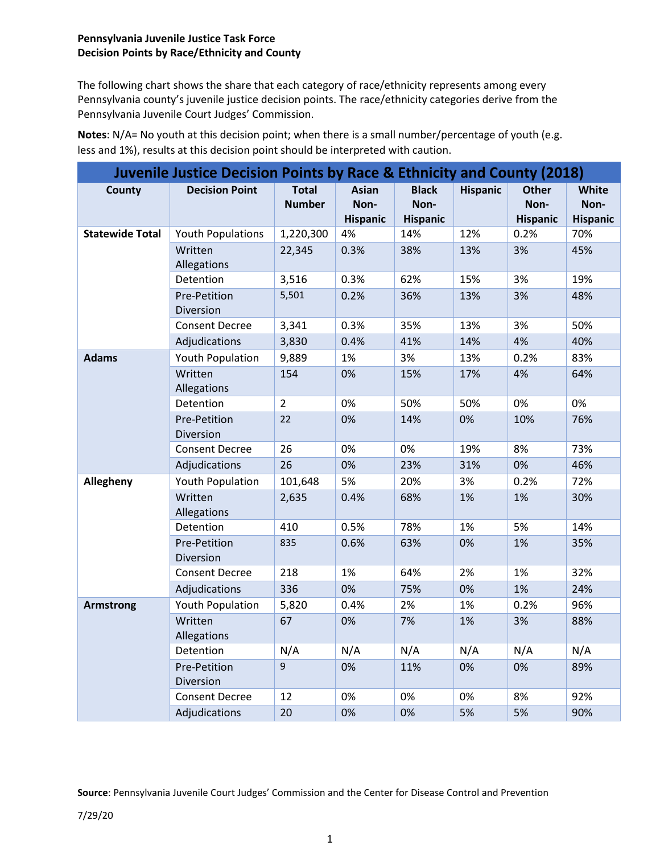## **Pennsylvania Juvenile Justice Task Force Decision Points by Race/Ethnicity and County**

The following chart shows the share that each category of race/ethnicity represents among every Pennsylvania county's juvenile justice decision points. The race/ethnicity categories derive from the Pennsylvania Juvenile Court Judges' Commission.

| <b>Juvenile Justice Decision Points by Race &amp; Ethnicity and County (2018)</b> |                           |                               |                                         |                                         |                 |                                         |                                  |
|-----------------------------------------------------------------------------------|---------------------------|-------------------------------|-----------------------------------------|-----------------------------------------|-----------------|-----------------------------------------|----------------------------------|
| County                                                                            | <b>Decision Point</b>     | <b>Total</b><br><b>Number</b> | <b>Asian</b><br>Non-<br><b>Hispanic</b> | <b>Black</b><br>Non-<br><b>Hispanic</b> | <b>Hispanic</b> | <b>Other</b><br>Non-<br><b>Hispanic</b> | White<br>Non-<br><b>Hispanic</b> |
| <b>Statewide Total</b>                                                            | <b>Youth Populations</b>  | 1,220,300                     | 4%                                      | 14%                                     | 12%             | 0.2%                                    | 70%                              |
|                                                                                   | Written<br>Allegations    | 22,345                        | 0.3%                                    | 38%                                     | 13%             | 3%                                      | 45%                              |
|                                                                                   | Detention                 | 3,516                         | 0.3%                                    | 62%                                     | 15%             | 3%                                      | 19%                              |
|                                                                                   | Pre-Petition<br>Diversion | 5,501                         | 0.2%                                    | 36%                                     | 13%             | 3%                                      | 48%                              |
|                                                                                   | <b>Consent Decree</b>     | 3,341                         | 0.3%                                    | 35%                                     | 13%             | 3%                                      | 50%                              |
|                                                                                   | Adjudications             | 3,830                         | 0.4%                                    | 41%                                     | 14%             | 4%                                      | 40%                              |
| <b>Adams</b>                                                                      | Youth Population          | 9,889                         | 1%                                      | 3%                                      | 13%             | 0.2%                                    | 83%                              |
|                                                                                   | Written<br>Allegations    | 154                           | 0%                                      | 15%                                     | 17%             | 4%                                      | 64%                              |
|                                                                                   | Detention                 | $\overline{2}$                | 0%                                      | 50%                                     | 50%             | 0%                                      | 0%                               |
|                                                                                   | Pre-Petition<br>Diversion | 22                            | 0%                                      | 14%                                     | 0%              | 10%                                     | 76%                              |
|                                                                                   | <b>Consent Decree</b>     | 26                            | 0%                                      | 0%                                      | 19%             | 8%                                      | 73%                              |
|                                                                                   | Adjudications             | 26                            | 0%                                      | 23%                                     | 31%             | 0%                                      | 46%                              |
| Allegheny                                                                         | Youth Population          | 101,648                       | 5%                                      | 20%                                     | 3%              | 0.2%                                    | 72%                              |
|                                                                                   | Written<br>Allegations    | 2,635                         | 0.4%                                    | 68%                                     | 1%              | 1%                                      | 30%                              |
|                                                                                   | Detention                 | 410                           | 0.5%                                    | 78%                                     | 1%              | 5%                                      | 14%                              |
|                                                                                   | Pre-Petition<br>Diversion | 835                           | 0.6%                                    | 63%                                     | 0%              | 1%                                      | 35%                              |
|                                                                                   | <b>Consent Decree</b>     | 218                           | 1%                                      | 64%                                     | 2%              | 1%                                      | 32%                              |
|                                                                                   | Adjudications             | 336                           | 0%                                      | 75%                                     | 0%              | 1%                                      | 24%                              |
| <b>Armstrong</b>                                                                  | Youth Population          | 5,820                         | 0.4%                                    | 2%                                      | 1%              | 0.2%                                    | 96%                              |
|                                                                                   | Written<br>Allegations    | 67                            | 0%                                      | 7%                                      | 1%              | 3%                                      | 88%                              |
|                                                                                   | Detention                 | N/A                           | N/A                                     | N/A                                     | N/A             | N/A                                     | N/A                              |
|                                                                                   | Pre-Petition<br>Diversion | 9                             | 0%                                      | 11%                                     | 0%              | 0%                                      | 89%                              |
|                                                                                   | <b>Consent Decree</b>     | 12                            | 0%                                      | 0%                                      | 0%              | 8%                                      | 92%                              |
|                                                                                   | Adjudications             | 20                            | 0%                                      | 0%                                      | 5%              | 5%                                      | 90%                              |

**Notes**: N/A= No youth at this decision point; when there is a small number/percentage of youth (e.g. less and 1%), results at this decision point should be interpreted with caution.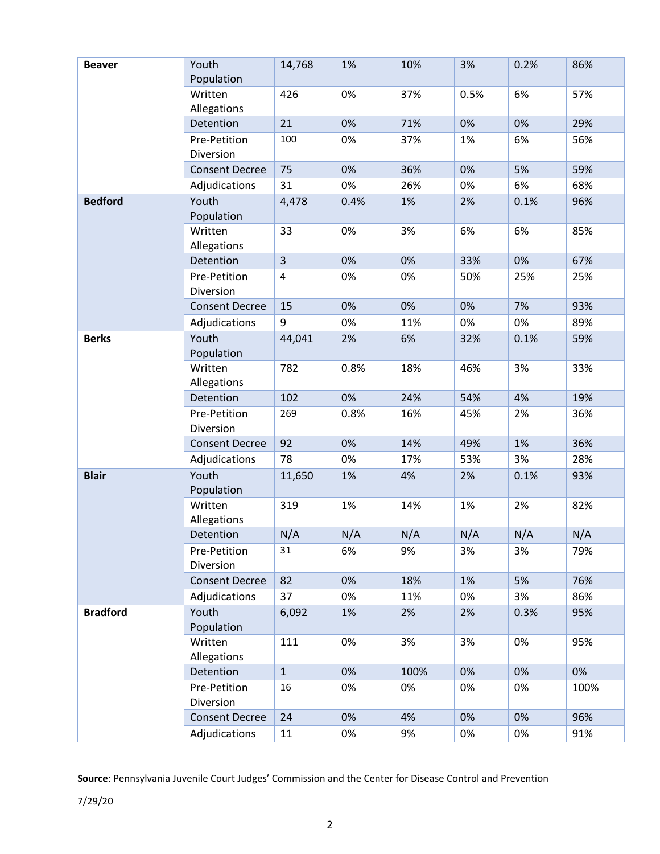| <b>Beaver</b>   | Youth                     | 14,768                  | 1%   | 10%  | 3%   | 0.2% | 86%  |
|-----------------|---------------------------|-------------------------|------|------|------|------|------|
|                 | Population                |                         |      |      |      |      |      |
|                 | Written<br>Allegations    | 426                     | 0%   | 37%  | 0.5% | 6%   | 57%  |
|                 | Detention                 | 21                      | 0%   | 71%  | 0%   | 0%   | 29%  |
|                 | Pre-Petition<br>Diversion | 100                     | 0%   | 37%  | 1%   | 6%   | 56%  |
|                 | <b>Consent Decree</b>     | 75                      | 0%   | 36%  | 0%   | 5%   | 59%  |
|                 | Adjudications             | 31                      | 0%   | 26%  | 0%   | 6%   | 68%  |
| <b>Bedford</b>  | Youth<br>Population       | 4,478                   | 0.4% | 1%   | 2%   | 0.1% | 96%  |
|                 | Written<br>Allegations    | 33                      | 0%   | 3%   | 6%   | 6%   | 85%  |
|                 | Detention                 | $\overline{3}$          | 0%   | 0%   | 33%  | 0%   | 67%  |
|                 | Pre-Petition<br>Diversion | $\overline{\mathbf{4}}$ | 0%   | 0%   | 50%  | 25%  | 25%  |
|                 | <b>Consent Decree</b>     | 15                      | 0%   | 0%   | 0%   | 7%   | 93%  |
|                 | Adjudications             | 9                       | 0%   | 11%  | 0%   | 0%   | 89%  |
| <b>Berks</b>    | Youth<br>Population       | 44,041                  | 2%   | 6%   | 32%  | 0.1% | 59%  |
|                 | Written<br>Allegations    | 782                     | 0.8% | 18%  | 46%  | 3%   | 33%  |
|                 | Detention                 | 102                     | 0%   | 24%  | 54%  | 4%   | 19%  |
|                 | Pre-Petition              | 269                     | 0.8% | 16%  | 45%  | 2%   | 36%  |
|                 | Diversion                 |                         |      |      |      |      |      |
|                 | <b>Consent Decree</b>     | 92                      | 0%   | 14%  | 49%  | 1%   | 36%  |
|                 | Adjudications             | 78                      | 0%   | 17%  | 53%  | 3%   | 28%  |
| <b>Blair</b>    | Youth<br>Population       | 11,650                  | 1%   | 4%   | 2%   | 0.1% | 93%  |
|                 | Written<br>Allegations    | 319                     | 1%   | 14%  | 1%   | 2%   | 82%  |
|                 | Detention                 | N/A                     | N/A  | N/A  | N/A  | N/A  | N/A  |
|                 | Pre-Petition<br>Diversion | 31                      | 6%   | 9%   | 3%   | 3%   | 79%  |
|                 | <b>Consent Decree</b>     | 82                      | 0%   | 18%  | 1%   | 5%   | 76%  |
|                 | Adjudications             | 37                      | 0%   | 11%  | 0%   | 3%   | 86%  |
| <b>Bradford</b> | Youth<br>Population       | 6,092                   | 1%   | 2%   | 2%   | 0.3% | 95%  |
|                 | Written<br>Allegations    | 111                     | 0%   | 3%   | 3%   | 0%   | 95%  |
|                 | Detention                 | $\mathbf{1}$            | 0%   | 100% | 0%   | 0%   | 0%   |
|                 | Pre-Petition<br>Diversion | 16                      | 0%   | 0%   | 0%   | 0%   | 100% |
|                 | <b>Consent Decree</b>     | 24                      | 0%   | 4%   | 0%   | 0%   | 96%  |
|                 | Adjudications             | 11                      | 0%   | 9%   | 0%   | 0%   | 91%  |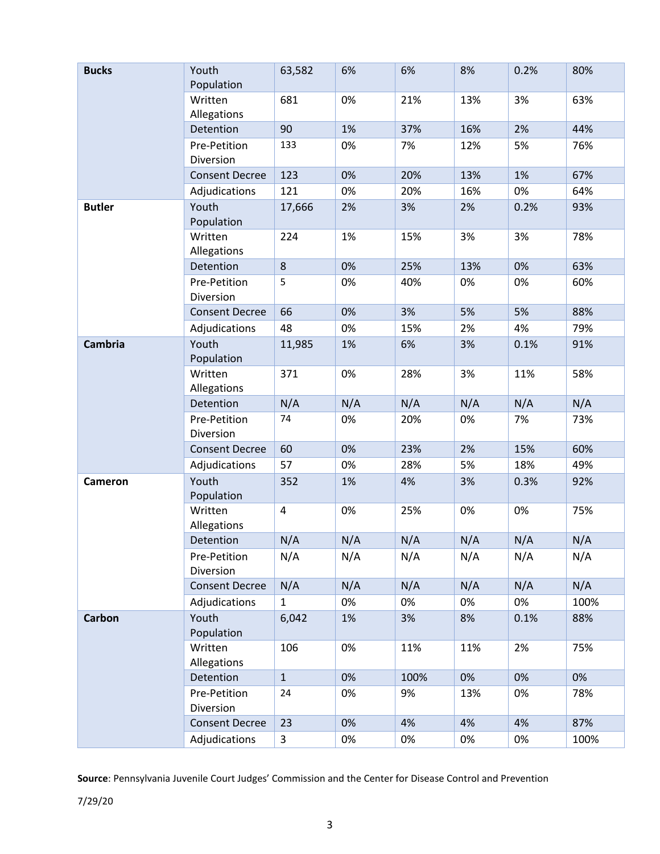| <b>Bucks</b>   | Youth<br>Population       | 63,582       | 6%  | 6%   | 8%  | 0.2% | 80%  |
|----------------|---------------------------|--------------|-----|------|-----|------|------|
|                | Written<br>Allegations    | 681          | 0%  | 21%  | 13% | 3%   | 63%  |
|                | Detention                 | 90           | 1%  | 37%  | 16% | 2%   | 44%  |
|                | Pre-Petition<br>Diversion | 133          | 0%  | 7%   | 12% | 5%   | 76%  |
|                | <b>Consent Decree</b>     | 123          | 0%  | 20%  | 13% | 1%   | 67%  |
|                | Adjudications             | 121          | 0%  | 20%  | 16% | 0%   | 64%  |
| <b>Butler</b>  | Youth<br>Population       | 17,666       | 2%  | 3%   | 2%  | 0.2% | 93%  |
|                | Written<br>Allegations    | 224          | 1%  | 15%  | 3%  | 3%   | 78%  |
|                | Detention                 | 8            | 0%  | 25%  | 13% | 0%   | 63%  |
|                | Pre-Petition<br>Diversion | 5            | 0%  | 40%  | 0%  | 0%   | 60%  |
|                | <b>Consent Decree</b>     | 66           | 0%  | 3%   | 5%  | 5%   | 88%  |
|                | Adjudications             | 48           | 0%  | 15%  | 2%  | 4%   | 79%  |
| <b>Cambria</b> | Youth<br>Population       | 11,985       | 1%  | 6%   | 3%  | 0.1% | 91%  |
|                | Written<br>Allegations    | 371          | 0%  | 28%  | 3%  | 11%  | 58%  |
|                | Detention                 | N/A          | N/A | N/A  | N/A | N/A  | N/A  |
|                | Pre-Petition<br>Diversion | 74           | 0%  | 20%  | 0%  | 7%   | 73%  |
|                | <b>Consent Decree</b>     | 60           | 0%  | 23%  | 2%  | 15%  | 60%  |
|                | Adjudications             | 57           | 0%  | 28%  | 5%  | 18%  | 49%  |
| <b>Cameron</b> | Youth<br>Population       | 352          | 1%  | 4%   | 3%  | 0.3% | 92%  |
|                | Written<br>Allegations    | $\pmb{4}$    | 0%  | 25%  | 0%  | 0%   | 75%  |
|                | Detention                 | N/A          | N/A | N/A  | N/A | N/A  | N/A  |
|                | Pre-Petition<br>Diversion | N/A          | N/A | N/A  | N/A | N/A  | N/A  |
|                | <b>Consent Decree</b>     | N/A          | N/A | N/A  | N/A | N/A  | N/A  |
|                | Adjudications             | $\mathbf{1}$ | 0%  | 0%   | 0%  | 0%   | 100% |
| Carbon         | Youth<br>Population       | 6,042        | 1%  | 3%   | 8%  | 0.1% | 88%  |
|                | Written<br>Allegations    | 106          | 0%  | 11%  | 11% | 2%   | 75%  |
|                | Detention                 | $\mathbf{1}$ | 0%  | 100% | 0%  | 0%   | 0%   |
|                | Pre-Petition<br>Diversion | 24           | 0%  | 9%   | 13% | 0%   | 78%  |
|                | <b>Consent Decree</b>     | 23           | 0%  | 4%   | 4%  | 4%   | 87%  |
|                | Adjudications             | 3            | 0%  | 0%   | 0%  | 0%   | 100% |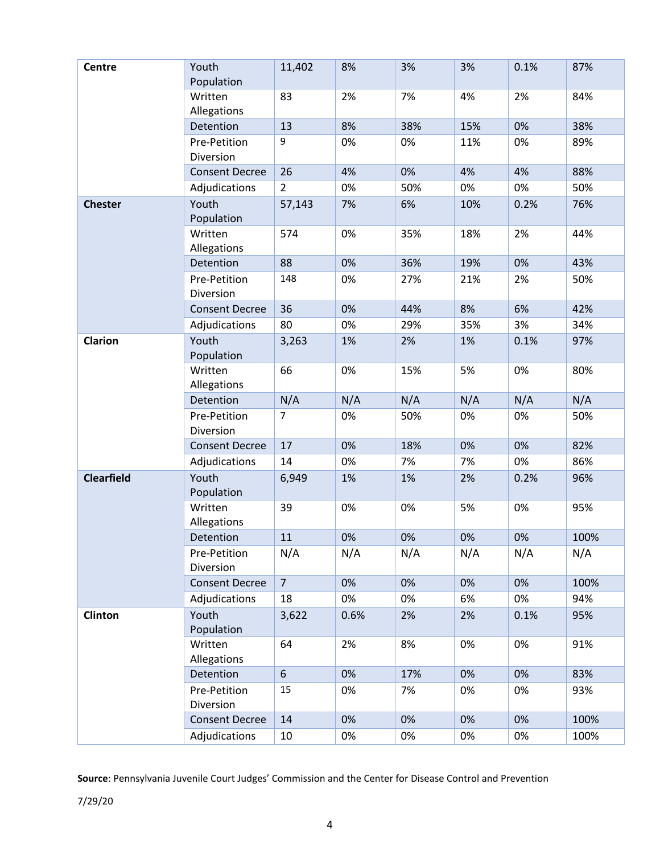| <b>Centre</b>     | Youth                     | 11,402         | 8%    | 3%  | 3%    | 0.1% | 87%  |
|-------------------|---------------------------|----------------|-------|-----|-------|------|------|
|                   | Population                |                |       |     |       |      |      |
|                   | Written<br>Allegations    | 83             | 2%    | 7%  | 4%    | 2%   | 84%  |
|                   | Detention                 | 13             | 8%    | 38% | 15%   | 0%   | 38%  |
|                   | Pre-Petition<br>Diversion | 9              | 0%    | 0%  | 11%   | 0%   | 89%  |
|                   | <b>Consent Decree</b>     | 26             | 4%    | 0%  | 4%    | 4%   | 88%  |
|                   | Adjudications             | $\overline{2}$ | 0%    | 50% | 0%    | 0%   | 50%  |
| <b>Chester</b>    | Youth<br>Population       | 57,143         | 7%    | 6%  | 10%   | 0.2% | 76%  |
|                   | Written<br>Allegations    | 574            | 0%    | 35% | 18%   | 2%   | 44%  |
|                   | Detention                 | 88             | 0%    | 36% | 19%   | 0%   | 43%  |
|                   | Pre-Petition<br>Diversion | 148            | 0%    | 27% | 21%   | 2%   | 50%  |
|                   | <b>Consent Decree</b>     | 36             | 0%    | 44% | 8%    | 6%   | 42%  |
|                   | Adjudications             | 80             | 0%    | 29% | 35%   | 3%   | 34%  |
| <b>Clarion</b>    | Youth<br>Population       | 3,263          | 1%    | 2%  | 1%    | 0.1% | 97%  |
|                   | Written<br>Allegations    | 66             | 0%    | 15% | 5%    | 0%   | 80%  |
|                   | Detention                 | N/A            | N/A   | N/A | N/A   | N/A  | N/A  |
|                   | Pre-Petition              | $\overline{7}$ | 0%    | 50% | 0%    | 0%   | 50%  |
|                   | Diversion                 |                |       |     |       |      |      |
|                   | <b>Consent Decree</b>     | 17             | 0%    | 18% | 0%    | 0%   | 82%  |
|                   | Adjudications             | 14             | 0%    | 7%  | 7%    | 0%   | 86%  |
| <b>Clearfield</b> | Youth<br>Population       | 6,949          | 1%    | 1%  | 2%    | 0.2% | 96%  |
|                   | Written<br>Allegations    | 39             | 0%    | 0%  | 5%    | 0%   | 95%  |
|                   | Detention                 | 11             | $0\%$ | 0%  | $0\%$ | 0%   | 100% |
|                   | Pre-Petition<br>Diversion | N/A            | N/A   | N/A | N/A   | N/A  | N/A  |
|                   | <b>Consent Decree</b>     | $\overline{7}$ | 0%    | 0%  | 0%    | 0%   | 100% |
|                   | Adjudications             | 18             | 0%    | 0%  | 6%    | 0%   | 94%  |
| Clinton           | Youth<br>Population       | 3,622          | 0.6%  | 2%  | 2%    | 0.1% | 95%  |
|                   | Written<br>Allegations    | 64             | 2%    | 8%  | 0%    | 0%   | 91%  |
|                   | Detention                 | $6\phantom{.}$ | 0%    | 17% | 0%    | 0%   | 83%  |
|                   | Pre-Petition<br>Diversion | 15             | 0%    | 7%  | 0%    | 0%   | 93%  |
|                   | <b>Consent Decree</b>     | 14             | 0%    | 0%  | 0%    | 0%   | 100% |
|                   | Adjudications             | 10             | 0%    | 0%  | 0%    | 0%   | 100% |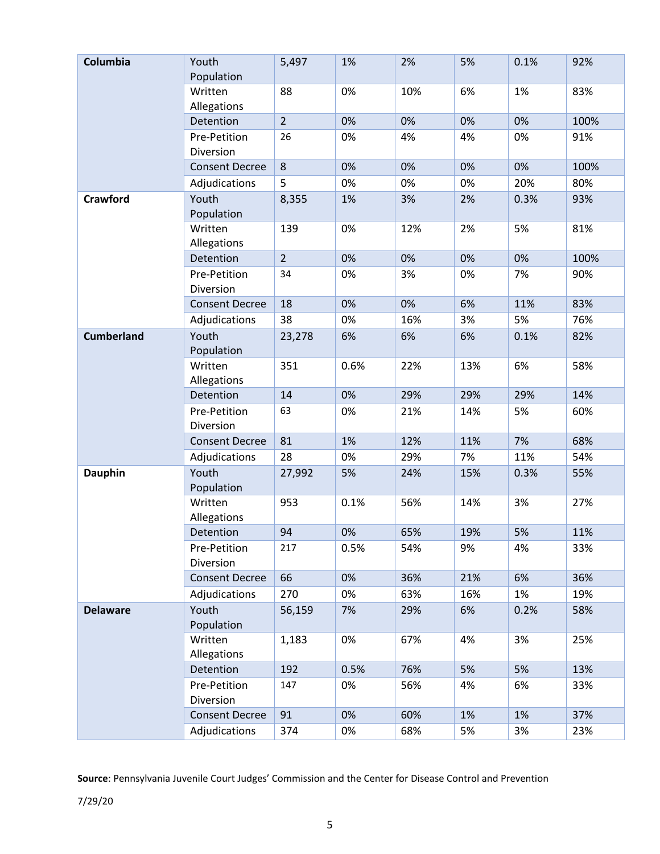| Columbia          | Youth<br>Population       | 5,497          | 1%   | 2%  | 5%  | 0.1% | 92%  |
|-------------------|---------------------------|----------------|------|-----|-----|------|------|
|                   | Written<br>Allegations    | 88             | 0%   | 10% | 6%  | 1%   | 83%  |
|                   | Detention                 | $\overline{2}$ | 0%   | 0%  | 0%  | 0%   | 100% |
|                   | Pre-Petition<br>Diversion | 26             | 0%   | 4%  | 4%  | 0%   | 91%  |
|                   | <b>Consent Decree</b>     | 8              | 0%   | 0%  | 0%  | 0%   | 100% |
|                   | Adjudications             | 5              | 0%   | 0%  | 0%  | 20%  | 80%  |
| <b>Crawford</b>   | Youth<br>Population       | 8,355          | 1%   | 3%  | 2%  | 0.3% | 93%  |
|                   | Written<br>Allegations    | 139            | 0%   | 12% | 2%  | 5%   | 81%  |
|                   | Detention                 | $\overline{2}$ | 0%   | 0%  | 0%  | 0%   | 100% |
|                   | Pre-Petition<br>Diversion | 34             | 0%   | 3%  | 0%  | 7%   | 90%  |
|                   | <b>Consent Decree</b>     | 18             | 0%   | 0%  | 6%  | 11%  | 83%  |
|                   | Adjudications             | 38             | 0%   | 16% | 3%  | 5%   | 76%  |
| <b>Cumberland</b> | Youth<br>Population       | 23,278         | 6%   | 6%  | 6%  | 0.1% | 82%  |
|                   | Written<br>Allegations    | 351            | 0.6% | 22% | 13% | 6%   | 58%  |
|                   | Detention                 | 14             | 0%   | 29% | 29% | 29%  | 14%  |
|                   | Pre-Petition<br>Diversion | 63             | 0%   | 21% | 14% | 5%   | 60%  |
|                   | <b>Consent Decree</b>     | 81             | 1%   | 12% | 11% | 7%   | 68%  |
|                   | Adjudications             | 28             | 0%   | 29% | 7%  | 11%  | 54%  |
| <b>Dauphin</b>    | Youth<br>Population       | 27,992         | 5%   | 24% | 15% | 0.3% | 55%  |
|                   | Written<br>Allegations    | 953            | 0.1% | 56% | 14% | 3%   | 27%  |
|                   | <b>Detention</b>          | 94             | 0%   | 65% | 19% | 5%   | 11%  |
|                   | Pre-Petition<br>Diversion | 217            | 0.5% | 54% | 9%  | 4%   | 33%  |
|                   | <b>Consent Decree</b>     | 66             | 0%   | 36% | 21% | 6%   | 36%  |
|                   | Adjudications             | 270            | 0%   | 63% | 16% | 1%   | 19%  |
| <b>Delaware</b>   | Youth<br>Population       | 56,159         | 7%   | 29% | 6%  | 0.2% | 58%  |
|                   | Written<br>Allegations    | 1,183          | 0%   | 67% | 4%  | 3%   | 25%  |
|                   | Detention                 | 192            | 0.5% | 76% | 5%  | 5%   | 13%  |
|                   | Pre-Petition<br>Diversion | 147            | 0%   | 56% | 4%  | 6%   | 33%  |
|                   | <b>Consent Decree</b>     | 91             | 0%   | 60% | 1%  | 1%   | 37%  |
|                   | Adjudications             | 374            | 0%   | 68% | 5%  | 3%   | 23%  |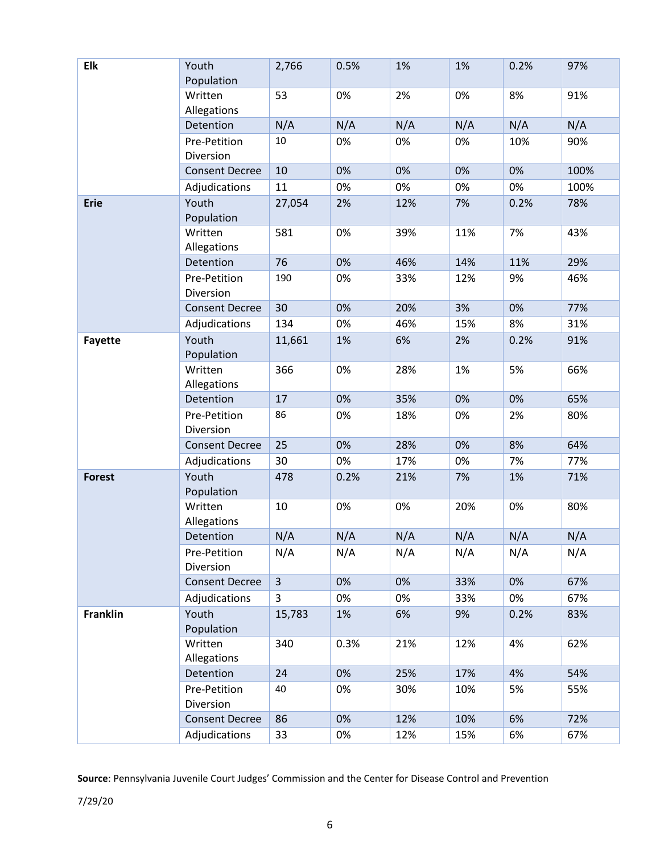| Elk             | Youth<br>Population       | 2,766          | 0.5% | 1%  | 1%  | 0.2% | 97%  |
|-----------------|---------------------------|----------------|------|-----|-----|------|------|
|                 | Written<br>Allegations    | 53             | 0%   | 2%  | 0%  | 8%   | 91%  |
|                 | Detention                 | N/A            | N/A  | N/A | N/A | N/A  | N/A  |
|                 | Pre-Petition<br>Diversion | $10\,$         | 0%   | 0%  | 0%  | 10%  | 90%  |
|                 | <b>Consent Decree</b>     | 10             | 0%   | 0%  | 0%  | 0%   | 100% |
|                 | Adjudications             | 11             | 0%   | 0%  | 0%  | 0%   | 100% |
| <b>Erie</b>     | Youth<br>Population       | 27,054         | 2%   | 12% | 7%  | 0.2% | 78%  |
|                 | Written<br>Allegations    | 581            | 0%   | 39% | 11% | 7%   | 43%  |
|                 | Detention                 | 76             | 0%   | 46% | 14% | 11%  | 29%  |
|                 | Pre-Petition<br>Diversion | 190            | 0%   | 33% | 12% | 9%   | 46%  |
|                 | <b>Consent Decree</b>     | 30             | 0%   | 20% | 3%  | 0%   | 77%  |
|                 | Adjudications             | 134            | 0%   | 46% | 15% | 8%   | 31%  |
| Fayette         | Youth<br>Population       | 11,661         | 1%   | 6%  | 2%  | 0.2% | 91%  |
|                 | Written<br>Allegations    | 366            | 0%   | 28% | 1%  | 5%   | 66%  |
|                 | Detention                 | 17             | 0%   | 35% | 0%  | 0%   | 65%  |
|                 | Pre-Petition<br>Diversion | 86             | 0%   | 18% | 0%  | 2%   | 80%  |
|                 | <b>Consent Decree</b>     | 25             | 0%   | 28% | 0%  | 8%   | 64%  |
|                 | Adjudications             | 30             | 0%   | 17% | 0%  | 7%   | 77%  |
| <b>Forest</b>   | Youth<br>Population       | 478            | 0.2% | 21% | 7%  | 1%   | 71%  |
|                 | Written<br>Allegations    | 10             | 0%   | 0%  | 20% | 0%   | 80%  |
|                 | Detention                 | N/A            | N/A  | N/A | N/A | N/A  | N/A  |
|                 | Pre-Petition<br>Diversion | N/A            | N/A  | N/A | N/A | N/A  | N/A  |
|                 | <b>Consent Decree</b>     | $\overline{3}$ | 0%   | 0%  | 33% | 0%   | 67%  |
|                 | Adjudications             | 3              | 0%   | 0%  | 33% | 0%   | 67%  |
| <b>Franklin</b> | Youth<br>Population       | 15,783         | 1%   | 6%  | 9%  | 0.2% | 83%  |
|                 | Written<br>Allegations    | 340            | 0.3% | 21% | 12% | 4%   | 62%  |
|                 | Detention                 | 24             | 0%   | 25% | 17% | 4%   | 54%  |
|                 | Pre-Petition<br>Diversion | 40             | 0%   | 30% | 10% | 5%   | 55%  |
|                 | <b>Consent Decree</b>     | 86             | 0%   | 12% | 10% | 6%   | 72%  |
|                 | Adjudications             | 33             | 0%   | 12% | 15% | 6%   | 67%  |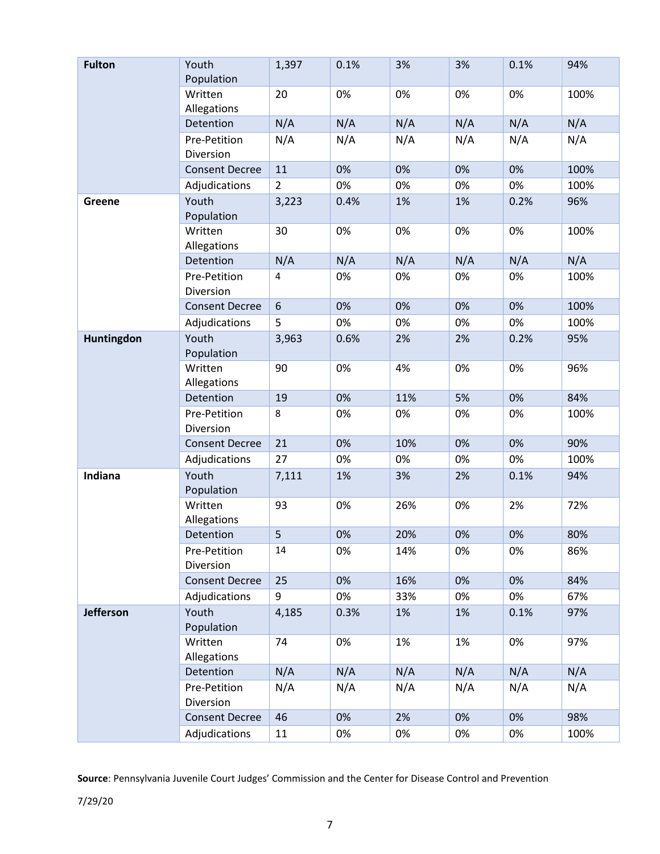| <b>Fulton</b>    | Youth<br>Population       | 1,397          | 0.1% | 3%  | 3%  | 0.1% | 94%  |
|------------------|---------------------------|----------------|------|-----|-----|------|------|
|                  | Written<br>Allegations    | 20             | 0%   | 0%  | 0%  | 0%   | 100% |
|                  | Detention                 | N/A            | N/A  | N/A | N/A | N/A  | N/A  |
|                  | Pre-Petition<br>Diversion | N/A            | N/A  | N/A | N/A | N/A  | N/A  |
|                  | <b>Consent Decree</b>     | 11             | 0%   | 0%  | 0%  | 0%   | 100% |
|                  | Adjudications             | $\overline{2}$ | 0%   | 0%  | 0%  | 0%   | 100% |
| <b>Greene</b>    | Youth<br>Population       | 3,223          | 0.4% | 1%  | 1%  | 0.2% | 96%  |
|                  | Written<br>Allegations    | 30             | 0%   | 0%  | 0%  | 0%   | 100% |
|                  | Detention                 | N/A            | N/A  | N/A | N/A | N/A  | N/A  |
|                  | Pre-Petition<br>Diversion | $\overline{4}$ | 0%   | 0%  | 0%  | 0%   | 100% |
|                  | <b>Consent Decree</b>     | 6              | 0%   | 0%  | 0%  | 0%   | 100% |
|                  | Adjudications             | 5              | 0%   | 0%  | 0%  | 0%   | 100% |
| Huntingdon       | Youth<br>Population       | 3,963          | 0.6% | 2%  | 2%  | 0.2% | 95%  |
|                  | Written<br>Allegations    | 90             | 0%   | 4%  | 0%  | 0%   | 96%  |
|                  | Detention                 | 19             | 0%   | 11% | 5%  | 0%   | 84%  |
|                  | Pre-Petition<br>Diversion | 8              | 0%   | 0%  | 0%  | 0%   | 100% |
|                  | <b>Consent Decree</b>     | 21             | 0%   | 10% | 0%  | 0%   | 90%  |
|                  | Adjudications             | 27             | 0%   | 0%  | 0%  | 0%   | 100% |
| Indiana          | Youth<br>Population       | 7,111          | 1%   | 3%  | 2%  | 0.1% | 94%  |
|                  | Written<br>Allegations    | 93             | 0%   | 26% | 0%  | 2%   | 72%  |
|                  | Detention                 | 5              | 0%   | 20% | 0%  | 0%   | 80%  |
|                  | Pre-Petition<br>Diversion | 14             | 0%   | 14% | 0%  | 0%   | 86%  |
|                  | <b>Consent Decree</b>     | 25             | 0%   | 16% | 0%  | 0%   | 84%  |
|                  | Adjudications             | 9              | 0%   | 33% | 0%  | 0%   | 67%  |
| <b>Jefferson</b> | Youth<br>Population       | 4,185          | 0.3% | 1%  | 1%  | 0.1% | 97%  |
|                  | Written<br>Allegations    | 74             | 0%   | 1%  | 1%  | 0%   | 97%  |
|                  | Detention                 | N/A            | N/A  | N/A | N/A | N/A  | N/A  |
|                  | Pre-Petition<br>Diversion | N/A            | N/A  | N/A | N/A | N/A  | N/A  |
|                  | <b>Consent Decree</b>     | 46             | 0%   | 2%  | 0%  | 0%   | 98%  |
|                  | Adjudications             | 11             | 0%   | 0%  | 0%  | 0%   | 100% |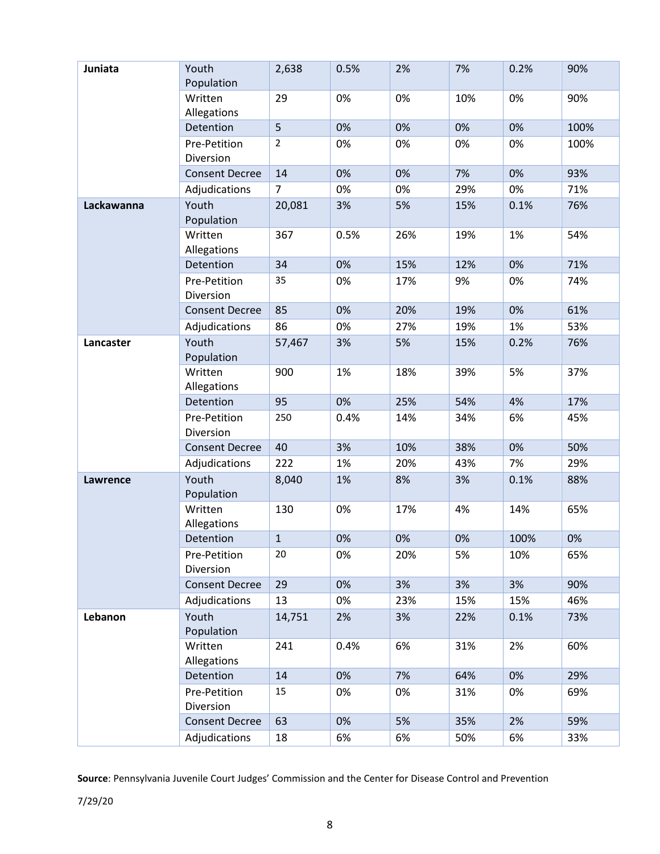| Juniata         | Youth<br>Population       | 2,638          | 0.5% | 2%  | 7%  | 0.2% | 90%  |
|-----------------|---------------------------|----------------|------|-----|-----|------|------|
|                 | Written<br>Allegations    | 29             | 0%   | 0%  | 10% | 0%   | 90%  |
|                 | Detention                 | 5              | 0%   | 0%  | 0%  | 0%   | 100% |
|                 | Pre-Petition<br>Diversion | $\overline{2}$ | 0%   | 0%  | 0%  | 0%   | 100% |
|                 | <b>Consent Decree</b>     | 14             | 0%   | 0%  | 7%  | 0%   | 93%  |
|                 | Adjudications             | $\overline{7}$ | 0%   | 0%  | 29% | 0%   | 71%  |
| Lackawanna      | Youth<br>Population       | 20,081         | 3%   | 5%  | 15% | 0.1% | 76%  |
|                 | Written<br>Allegations    | 367            | 0.5% | 26% | 19% | 1%   | 54%  |
|                 | Detention                 | 34             | 0%   | 15% | 12% | 0%   | 71%  |
|                 | Pre-Petition<br>Diversion | 35             | 0%   | 17% | 9%  | 0%   | 74%  |
|                 | <b>Consent Decree</b>     | 85             | 0%   | 20% | 19% | 0%   | 61%  |
|                 | Adjudications             | 86             | 0%   | 27% | 19% | 1%   | 53%  |
| Lancaster       | Youth<br>Population       | 57,467         | 3%   | 5%  | 15% | 0.2% | 76%  |
|                 | Written<br>Allegations    | 900            | 1%   | 18% | 39% | 5%   | 37%  |
|                 | Detention                 | 95             | 0%   | 25% | 54% | 4%   | 17%  |
|                 | Pre-Petition<br>Diversion | 250            | 0.4% | 14% | 34% | 6%   | 45%  |
|                 | <b>Consent Decree</b>     | 40             | 3%   | 10% | 38% | 0%   | 50%  |
|                 | Adjudications             | 222            | 1%   | 20% | 43% | 7%   | 29%  |
| <b>Lawrence</b> | Youth<br>Population       | 8,040          | 1%   | 8%  | 3%  | 0.1% | 88%  |
|                 | Written<br>Allegations    | 130            | 0%   | 17% | 4%  | 14%  | 65%  |
|                 | Detention                 | $\mathbf{1}$   | 0%   | 0%  | 0%  | 100% | 0%   |
|                 | Pre-Petition<br>Diversion | 20             | 0%   | 20% | 5%  | 10%  | 65%  |
|                 | <b>Consent Decree</b>     | 29             | 0%   | 3%  | 3%  | 3%   | 90%  |
|                 | Adjudications             | 13             | 0%   | 23% | 15% | 15%  | 46%  |
| Lebanon         | Youth<br>Population       | 14,751         | 2%   | 3%  | 22% | 0.1% | 73%  |
|                 | Written<br>Allegations    | 241            | 0.4% | 6%  | 31% | 2%   | 60%  |
|                 | Detention                 | 14             | 0%   | 7%  | 64% | 0%   | 29%  |
|                 | Pre-Petition<br>Diversion | 15             | 0%   | 0%  | 31% | 0%   | 69%  |
|                 | <b>Consent Decree</b>     | 63             | 0%   | 5%  | 35% | 2%   | 59%  |
|                 | Adjudications             | 18             | 6%   | 6%  | 50% | 6%   | 33%  |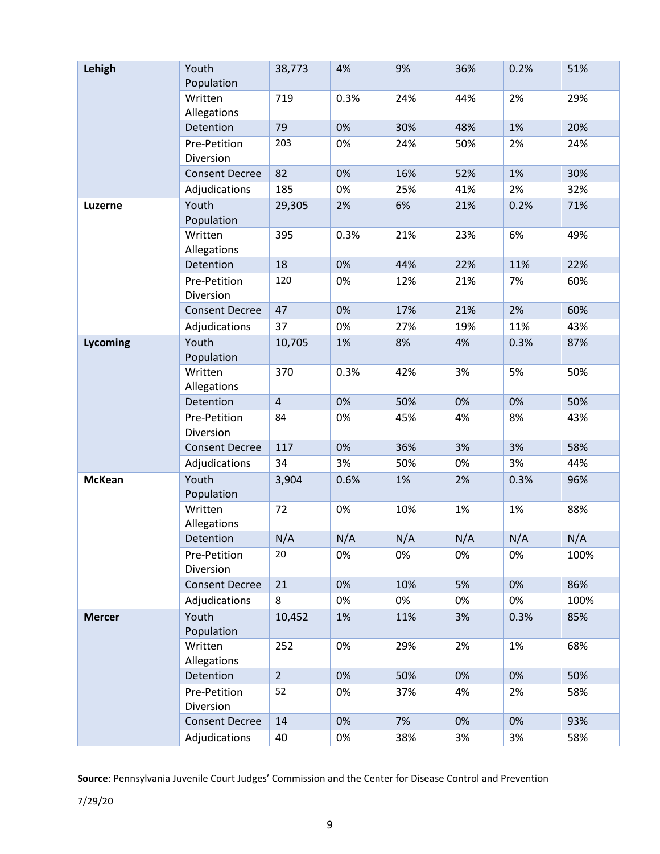| Lehigh        | Youth<br>Population       | 38,773         | 4%   | 9%  | 36% | 0.2% | 51%  |
|---------------|---------------------------|----------------|------|-----|-----|------|------|
|               | Written<br>Allegations    | 719            | 0.3% | 24% | 44% | 2%   | 29%  |
|               | Detention                 | 79             | 0%   | 30% | 48% | 1%   | 20%  |
|               | Pre-Petition<br>Diversion | 203            | 0%   | 24% | 50% | 2%   | 24%  |
|               | <b>Consent Decree</b>     | 82             | 0%   | 16% | 52% | 1%   | 30%  |
|               | Adjudications             | 185            | 0%   | 25% | 41% | 2%   | 32%  |
| Luzerne       | Youth<br>Population       | 29,305         | 2%   | 6%  | 21% | 0.2% | 71%  |
|               | Written<br>Allegations    | 395            | 0.3% | 21% | 23% | 6%   | 49%  |
|               | Detention                 | 18             | 0%   | 44% | 22% | 11%  | 22%  |
|               | Pre-Petition<br>Diversion | 120            | 0%   | 12% | 21% | 7%   | 60%  |
|               | <b>Consent Decree</b>     | 47             | 0%   | 17% | 21% | 2%   | 60%  |
|               | Adjudications             | 37             | 0%   | 27% | 19% | 11%  | 43%  |
| Lycoming      | Youth<br>Population       | 10,705         | 1%   | 8%  | 4%  | 0.3% | 87%  |
|               | Written<br>Allegations    | 370            | 0.3% | 42% | 3%  | 5%   | 50%  |
|               | Detention                 | $\overline{4}$ | 0%   | 50% | 0%  | 0%   | 50%  |
|               | Pre-Petition<br>Diversion | 84             | 0%   | 45% | 4%  | 8%   | 43%  |
|               | <b>Consent Decree</b>     | 117            | 0%   | 36% | 3%  | 3%   | 58%  |
|               | Adjudications             | 34             | 3%   | 50% | 0%  | 3%   | 44%  |
| <b>McKean</b> | Youth<br>Population       | 3,904          | 0.6% | 1%  | 2%  | 0.3% | 96%  |
|               | Written<br>Allegations    | 72             | 0%   | 10% | 1%  | 1%   | 88%  |
|               | Detention                 | N/A            | N/A  | N/A | N/A | N/A  | N/A  |
|               | Pre-Petition<br>Diversion | 20             | 0%   | 0%  | 0%  | 0%   | 100% |
|               | <b>Consent Decree</b>     | 21             | 0%   | 10% | 5%  | 0%   | 86%  |
|               | Adjudications             | 8              | 0%   | 0%  | 0%  | 0%   | 100% |
| <b>Mercer</b> | Youth<br>Population       | 10,452         | 1%   | 11% | 3%  | 0.3% | 85%  |
|               | Written<br>Allegations    | 252            | 0%   | 29% | 2%  | 1%   | 68%  |
|               | Detention                 | $\overline{2}$ | 0%   | 50% | 0%  | 0%   | 50%  |
|               | Pre-Petition<br>Diversion | 52             | 0%   | 37% | 4%  | 2%   | 58%  |
|               | <b>Consent Decree</b>     | 14             | 0%   | 7%  | 0%  | 0%   | 93%  |
|               | Adjudications             | 40             | 0%   | 38% | 3%  | 3%   | 58%  |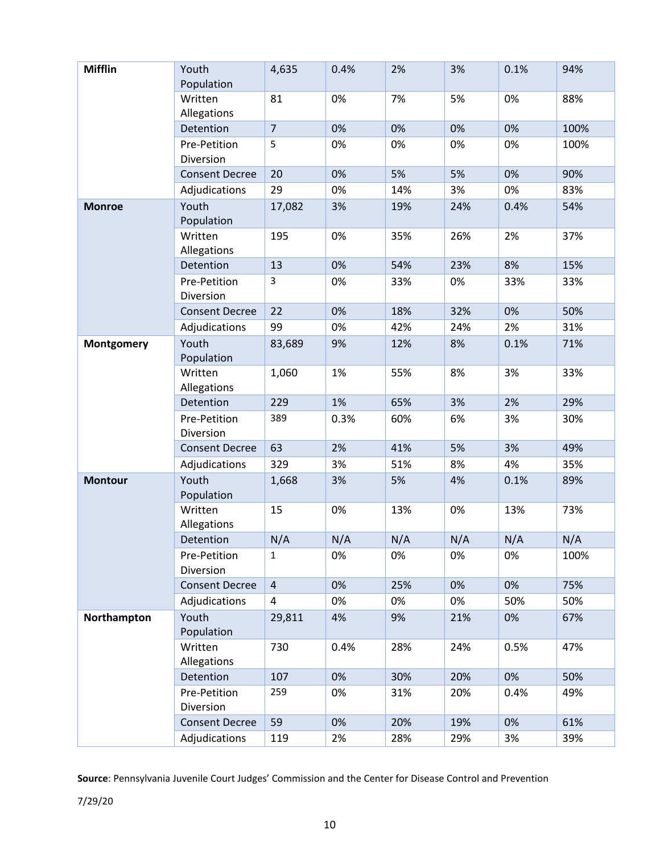| <b>Mifflin</b> | Youth<br>Population       | 4,635          | 0.4% | 2%  | 3%  | 0.1% | 94%  |
|----------------|---------------------------|----------------|------|-----|-----|------|------|
|                | Written<br>Allegations    | 81             | 0%   | 7%  | 5%  | 0%   | 88%  |
|                | Detention                 | $\overline{7}$ | 0%   | 0%  | 0%  | 0%   | 100% |
|                | Pre-Petition<br>Diversion | 5              | 0%   | 0%  | 0%  | 0%   | 100% |
|                | <b>Consent Decree</b>     | 20             | 0%   | 5%  | 5%  | 0%   | 90%  |
|                | Adjudications             | 29             | 0%   | 14% | 3%  | 0%   | 83%  |
| <b>Monroe</b>  | Youth<br>Population       | 17,082         | 3%   | 19% | 24% | 0.4% | 54%  |
|                | Written<br>Allegations    | 195            | 0%   | 35% | 26% | 2%   | 37%  |
|                | Detention                 | 13             | 0%   | 54% | 23% | 8%   | 15%  |
|                | Pre-Petition<br>Diversion | 3              | 0%   | 33% | 0%  | 33%  | 33%  |
|                | <b>Consent Decree</b>     | 22             | 0%   | 18% | 32% | 0%   | 50%  |
|                | Adjudications             | 99             | 0%   | 42% | 24% | 2%   | 31%  |
| Montgomery     | Youth<br>Population       | 83,689         | 9%   | 12% | 8%  | 0.1% | 71%  |
|                | Written<br>Allegations    | 1,060          | 1%   | 55% | 8%  | 3%   | 33%  |
|                | Detention                 | 229            | 1%   | 65% | 3%  | 2%   | 29%  |
|                | Pre-Petition<br>Diversion | 389            | 0.3% | 60% | 6%  | 3%   | 30%  |
|                | <b>Consent Decree</b>     | 63             | 2%   | 41% | 5%  | 3%   | 49%  |
|                | Adjudications             | 329            | 3%   | 51% | 8%  | 4%   | 35%  |
| <b>Montour</b> | Youth<br>Population       | 1,668          | 3%   | 5%  | 4%  | 0.1% | 89%  |
|                | Written<br>Allegations    | 15             | 0%   | 13% | 0%  | 13%  | 73%  |
|                | Detention                 | N/A            | N/A  | N/A | N/A | N/A  | N/A  |
|                | Pre-Petition<br>Diversion | 1              | 0%   | 0%  | 0%  | 0%   | 100% |
|                | <b>Consent Decree</b>     | $\overline{4}$ | 0%   | 25% | 0%  | 0%   | 75%  |
|                | Adjudications             | 4              | 0%   | 0%  | 0%  | 50%  | 50%  |
| Northampton    | Youth<br>Population       | 29,811         | 4%   | 9%  | 21% | 0%   | 67%  |
|                | Written<br>Allegations    | 730            | 0.4% | 28% | 24% | 0.5% | 47%  |
|                | Detention                 | 107            | 0%   | 30% | 20% | 0%   | 50%  |
|                | Pre-Petition<br>Diversion | 259            | 0%   | 31% | 20% | 0.4% | 49%  |
|                | <b>Consent Decree</b>     | 59             | 0%   | 20% | 19% | 0%   | 61%  |
|                | Adjudications             | 119            | 2%   | 28% | 29% | 3%   | 39%  |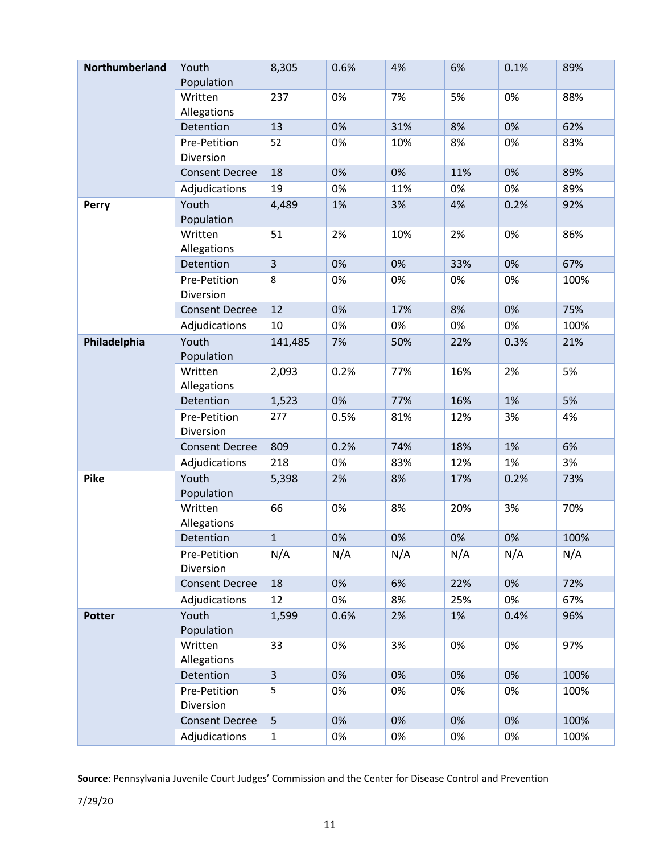| Northumberland | Youth<br>Population       | 8,305        | 0.6% | 4%  | 6%  | 0.1% | 89%  |
|----------------|---------------------------|--------------|------|-----|-----|------|------|
|                | Written<br>Allegations    | 237          | 0%   | 7%  | 5%  | 0%   | 88%  |
|                | Detention                 | 13           | 0%   | 31% | 8%  | 0%   | 62%  |
|                | Pre-Petition<br>Diversion | 52           | 0%   | 10% | 8%  | 0%   | 83%  |
|                | <b>Consent Decree</b>     | 18           | 0%   | 0%  | 11% | 0%   | 89%  |
|                | Adjudications             | 19           | 0%   | 11% | 0%  | 0%   | 89%  |
| <b>Perry</b>   | Youth<br>Population       | 4,489        | 1%   | 3%  | 4%  | 0.2% | 92%  |
|                | Written<br>Allegations    | 51           | 2%   | 10% | 2%  | 0%   | 86%  |
|                | Detention                 | 3            | 0%   | 0%  | 33% | 0%   | 67%  |
|                | Pre-Petition<br>Diversion | 8            | 0%   | 0%  | 0%  | 0%   | 100% |
|                | <b>Consent Decree</b>     | 12           | 0%   | 17% | 8%  | 0%   | 75%  |
|                | Adjudications             | 10           | 0%   | 0%  | 0%  | 0%   | 100% |
| Philadelphia   | Youth<br>Population       | 141,485      | 7%   | 50% | 22% | 0.3% | 21%  |
|                | Written<br>Allegations    | 2,093        | 0.2% | 77% | 16% | 2%   | 5%   |
|                | Detention                 | 1,523        | 0%   | 77% | 16% | 1%   | 5%   |
|                | Pre-Petition<br>Diversion | 277          | 0.5% | 81% | 12% | 3%   | 4%   |
|                | <b>Consent Decree</b>     | 809          | 0.2% | 74% | 18% | 1%   | 6%   |
|                | Adjudications             | 218          | 0%   | 83% | 12% | 1%   | 3%   |
| Pike           | Youth<br>Population       | 5,398        | 2%   | 8%  | 17% | 0.2% | 73%  |
|                | Written<br>Allegations    | 66           | 0%   | 8%  | 20% | 3%   | 70%  |
|                | Detention                 | $\mathbf{1}$ | 0%   | 0%  | 0%  | 0%   | 100% |
|                | Pre-Petition<br>Diversion | N/A          | N/A  | N/A | N/A | N/A  | N/A  |
|                | <b>Consent Decree</b>     | 18           | 0%   | 6%  | 22% | 0%   | 72%  |
|                | Adjudications             | 12           | 0%   | 8%  | 25% | 0%   | 67%  |
| <b>Potter</b>  | Youth<br>Population       | 1,599        | 0.6% | 2%  | 1%  | 0.4% | 96%  |
|                | Written<br>Allegations    | 33           | 0%   | 3%  | 0%  | 0%   | 97%  |
|                | Detention                 | 3            | 0%   | 0%  | 0%  | 0%   | 100% |
|                | Pre-Petition<br>Diversion | 5            | 0%   | 0%  | 0%  | 0%   | 100% |
|                | <b>Consent Decree</b>     | 5            | 0%   | 0%  | 0%  | 0%   | 100% |
|                | Adjudications             | $\mathbf{1}$ | 0%   | 0%  | 0%  | 0%   | 100% |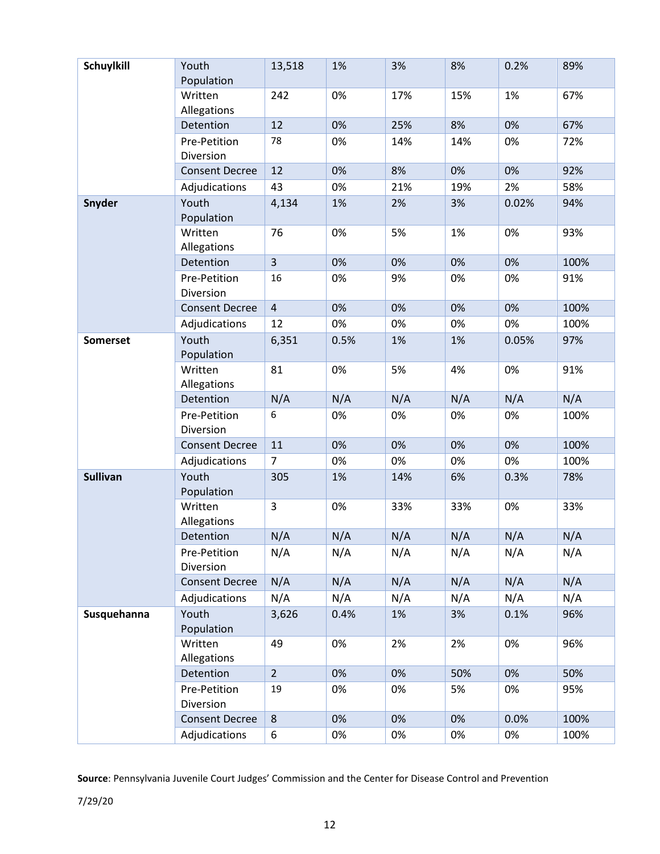| Schuylkill      | Youth                     | 13,518         | 1%   | 3%  | 8%  | 0.2%  | 89%  |
|-----------------|---------------------------|----------------|------|-----|-----|-------|------|
|                 | Population                |                |      |     |     |       |      |
|                 | Written<br>Allegations    | 242            | 0%   | 17% | 15% | 1%    | 67%  |
|                 | Detention                 | 12             | 0%   | 25% | 8%  | 0%    | 67%  |
|                 | Pre-Petition<br>Diversion | 78             | 0%   | 14% | 14% | 0%    | 72%  |
|                 | <b>Consent Decree</b>     | 12             | 0%   | 8%  | 0%  | 0%    | 92%  |
|                 | Adjudications             | 43             | 0%   | 21% | 19% | 2%    | 58%  |
| <b>Snyder</b>   | Youth<br>Population       | 4,134          | 1%   | 2%  | 3%  | 0.02% | 94%  |
|                 | Written<br>Allegations    | 76             | 0%   | 5%  | 1%  | 0%    | 93%  |
|                 | Detention                 | $\overline{3}$ | 0%   | 0%  | 0%  | 0%    | 100% |
|                 | Pre-Petition<br>Diversion | 16             | 0%   | 9%  | 0%  | 0%    | 91%  |
|                 | <b>Consent Decree</b>     | $\overline{4}$ | 0%   | 0%  | 0%  | 0%    | 100% |
|                 | Adjudications             | 12             | 0%   | 0%  | 0%  | 0%    | 100% |
| <b>Somerset</b> | Youth<br>Population       | 6,351          | 0.5% | 1%  | 1%  | 0.05% | 97%  |
|                 | Written<br>Allegations    | 81             | 0%   | 5%  | 4%  | 0%    | 91%  |
|                 | Detention                 | N/A            | N/A  | N/A | N/A | N/A   | N/A  |
|                 | Pre-Petition<br>Diversion | 6              | 0%   | 0%  | 0%  | 0%    | 100% |
|                 | <b>Consent Decree</b>     | 11             | 0%   | 0%  | 0%  | 0%    | 100% |
|                 | Adjudications             | $\overline{7}$ | 0%   | 0%  | 0%  | 0%    | 100% |
| <b>Sullivan</b> | Youth<br>Population       | 305            | 1%   | 14% | 6%  | 0.3%  | 78%  |
|                 | Written<br>Allegations    | 3              | 0%   | 33% | 33% | 0%    | 33%  |
|                 | Detention                 | N/A            | N/A  | N/A | N/A | N/A   | N/A  |
|                 | Pre-Petition<br>Diversion | N/A            | N/A  | N/A | N/A | N/A   | N/A  |
|                 | <b>Consent Decree</b>     | N/A            | N/A  | N/A | N/A | N/A   | N/A  |
|                 | Adjudications             | N/A            | N/A  | N/A | N/A | N/A   | N/A  |
| Susquehanna     | Youth<br>Population       | 3,626          | 0.4% | 1%  | 3%  | 0.1%  | 96%  |
|                 | Written<br>Allegations    | 49             | 0%   | 2%  | 2%  | 0%    | 96%  |
|                 | Detention                 | $\overline{2}$ | 0%   | 0%  | 50% | 0%    | 50%  |
|                 | Pre-Petition<br>Diversion | 19             | 0%   | 0%  | 5%  | 0%    | 95%  |
|                 | <b>Consent Decree</b>     | $\,8\,$        | 0%   | 0%  | 0%  | 0.0%  | 100% |
|                 | Adjudications             | 6              | 0%   | 0%  | 0%  | 0%    | 100% |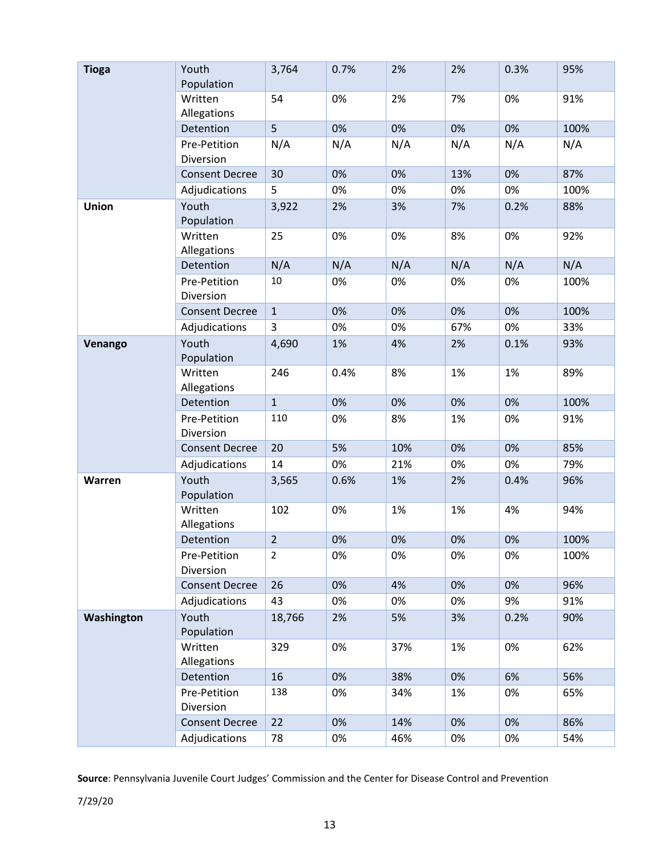| <b>Tioga</b> | Youth<br>Population       | 3,764          | 0.7% | 2%  | 2%  | 0.3% | 95%  |
|--------------|---------------------------|----------------|------|-----|-----|------|------|
|              | Written<br>Allegations    | 54             | 0%   | 2%  | 7%  | 0%   | 91%  |
|              | Detention                 | 5              | 0%   | 0%  | 0%  | 0%   | 100% |
|              | Pre-Petition<br>Diversion | N/A            | N/A  | N/A | N/A | N/A  | N/A  |
|              | <b>Consent Decree</b>     | 30             | 0%   | 0%  | 13% | 0%   | 87%  |
|              | Adjudications             | 5              | 0%   | 0%  | 0%  | 0%   | 100% |
| Union        | Youth<br>Population       | 3,922          | 2%   | 3%  | 7%  | 0.2% | 88%  |
|              | Written<br>Allegations    | 25             | 0%   | 0%  | 8%  | 0%   | 92%  |
|              | Detention                 | N/A            | N/A  | N/A | N/A | N/A  | N/A  |
|              | Pre-Petition<br>Diversion | 10             | 0%   | 0%  | 0%  | 0%   | 100% |
|              | <b>Consent Decree</b>     | $\mathbf{1}$   | 0%   | 0%  | 0%  | 0%   | 100% |
|              | Adjudications             | 3              | 0%   | 0%  | 67% | 0%   | 33%  |
| Venango      | Youth<br>Population       | 4,690          | 1%   | 4%  | 2%  | 0.1% | 93%  |
|              | Written<br>Allegations    | 246            | 0.4% | 8%  | 1%  | 1%   | 89%  |
|              | Detention                 | $\mathbf{1}$   | 0%   | 0%  | 0%  | 0%   | 100% |
|              | Pre-Petition<br>Diversion | 110            | 0%   | 8%  | 1%  | 0%   | 91%  |
|              | <b>Consent Decree</b>     | 20             | 5%   | 10% | 0%  | 0%   | 85%  |
|              | Adjudications             | 14             | 0%   | 21% | 0%  | 0%   | 79%  |
| Warren       | Youth<br>Population       | 3,565          | 0.6% | 1%  | 2%  | 0.4% | 96%  |
|              | Written<br>Allegations    | 102            | 0%   | 1%  | 1%  | 4%   | 94%  |
|              | Detention                 | $\overline{2}$ | 0%   | 0%  | 0%  | 0%   | 100% |
|              | Pre-Petition<br>Diversion | $\overline{2}$ | 0%   | 0%  | 0%  | 0%   | 100% |
|              | <b>Consent Decree</b>     | 26             | 0%   | 4%  | 0%  | 0%   | 96%  |
|              | Adjudications             | 43             | 0%   | 0%  | 0%  | 9%   | 91%  |
| Washington   | Youth<br>Population       | 18,766         | 2%   | 5%  | 3%  | 0.2% | 90%  |
|              | Written<br>Allegations    | 329            | 0%   | 37% | 1%  | 0%   | 62%  |
|              | Detention                 | 16             | 0%   | 38% | 0%  | 6%   | 56%  |
|              | Pre-Petition<br>Diversion | 138            | 0%   | 34% | 1%  | 0%   | 65%  |
|              | <b>Consent Decree</b>     | 22             | 0%   | 14% | 0%  | 0%   | 86%  |
|              | Adjudications             | 78             | 0%   | 46% | 0%  | 0%   | 54%  |